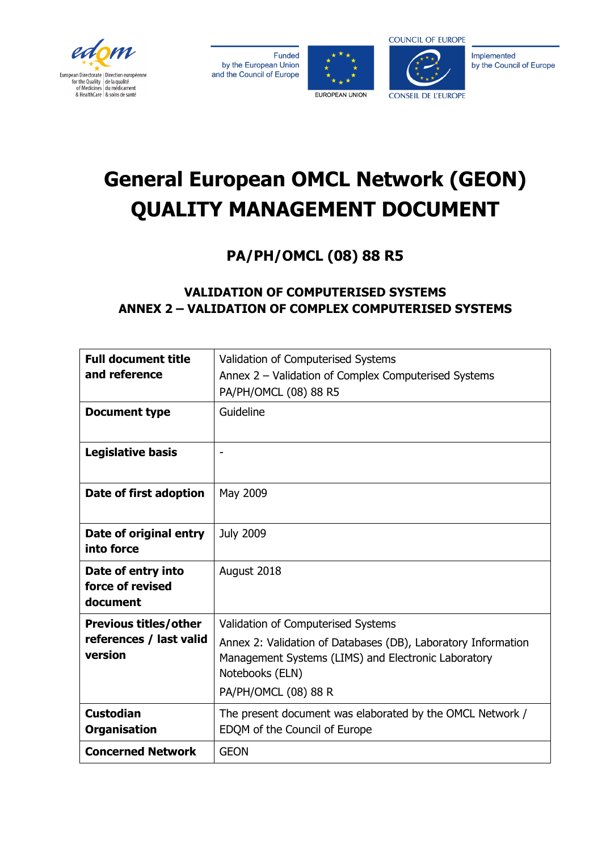







Implemented by the Council of Europe

# **General European OMCL Network (GEON) QUALITY MANAGEMENT DOCUMENT**

**PA/PH/OMCL (08) 88 R5**

# **VALIDATION OF COMPUTERISED SYSTEMS ANNEX 2 – VALIDATION OF COMPLEX COMPUTERISED SYSTEMS**

| <b>Full document title</b><br>and reference        | Validation of Computerised Systems<br>Annex 2 - Validation of Complex Computerised Systems<br>PA/PH/OMCL (08) 88 R5                                             |
|----------------------------------------------------|-----------------------------------------------------------------------------------------------------------------------------------------------------------------|
| <b>Document type</b>                               | Guideline                                                                                                                                                       |
| <b>Legislative basis</b>                           | $\overline{a}$                                                                                                                                                  |
| Date of first adoption                             | May 2009                                                                                                                                                        |
| Date of original entry<br>into force               | <b>July 2009</b>                                                                                                                                                |
| Date of entry into<br>force of revised<br>document | August 2018                                                                                                                                                     |
| <b>Previous titles/other</b>                       | Validation of Computerised Systems                                                                                                                              |
| references / last valid<br>version                 | Annex 2: Validation of Databases (DB), Laboratory Information<br>Management Systems (LIMS) and Electronic Laboratory<br>Notebooks (ELN)<br>PA/PH/OMCL (08) 88 R |
| <b>Custodian</b><br><b>Organisation</b>            | The present document was elaborated by the OMCL Network /<br>EDQM of the Council of Europe                                                                      |
| <b>Concerned Network</b>                           | <b>GEON</b>                                                                                                                                                     |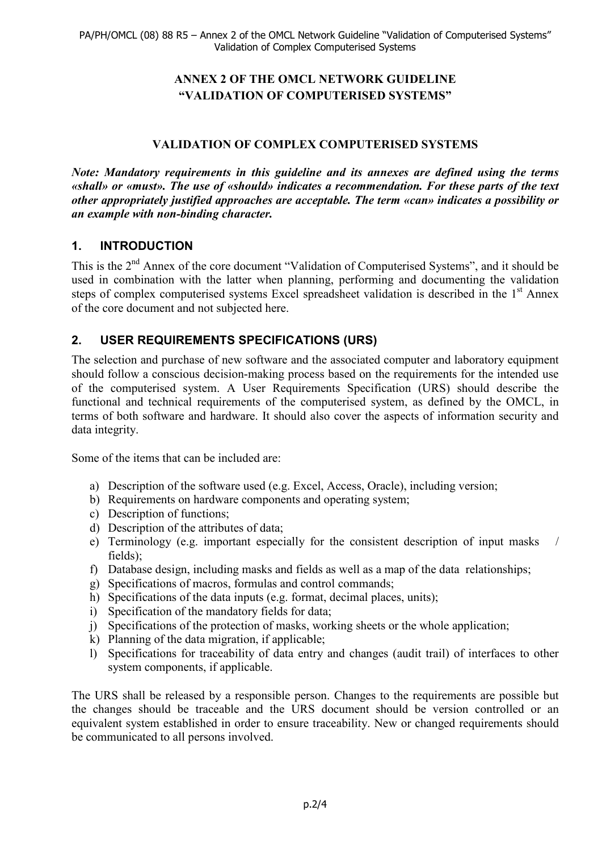## **ANNEX 2 OF THE OMCL NETWORK GUIDELINE "VALIDATION OF COMPUTERISED SYSTEMS"**

## **VALIDATION OF COMPLEX COMPUTERISED SYSTEMS**

*Note: Mandatory requirements in this guideline and its annexes are defined using the terms «shall» or «must». The use of «should» indicates a recommendation. For these parts of the text other appropriately justified approaches are acceptable. The term «can» indicates a possibility or an example with non-binding character.*

# **1. INTRODUCTION**

This is the 2<sup>nd</sup> Annex of the core document "Validation of Computerised Systems", and it should be used in combination with the latter when planning, performing and documenting the validation steps of complex computerised systems Excel spreadsheet validation is described in the 1<sup>st</sup> Annex of the core document and not subjected here.

# **2. USER REQUIREMENTS SPECIFICATIONS (URS)**

The selection and purchase of new software and the associated computer and laboratory equipment should follow a conscious decision-making process based on the requirements for the intended use of the computerised system. A User Requirements Specification (URS) should describe the functional and technical requirements of the computerised system, as defined by the OMCL, in terms of both software and hardware. It should also cover the aspects of information security and data integrity.

Some of the items that can be included are:

- a) Description of the software used (e.g. Excel, Access, Oracle), including version;
- b) Requirements on hardware components and operating system;
- c) Description of functions;
- d) Description of the attributes of data;
- e) Terminology (e.g. important especially for the consistent description of input masks / fields);
- f) Database design, including masks and fields as well as a map of the data relationships;
- g) Specifications of macros, formulas and control commands;
- h) Specifications of the data inputs (e.g. format, decimal places, units);
- i) Specification of the mandatory fields for data;
- j) Specifications of the protection of masks, working sheets or the whole application;
- k) Planning of the data migration, if applicable;
- l) Specifications for traceability of data entry and changes (audit trail) of interfaces to other system components, if applicable.

The URS shall be released by a responsible person. Changes to the requirements are possible but the changes should be traceable and the URS document should be version controlled or an equivalent system established in order to ensure traceability. New or changed requirements should be communicated to all persons involved.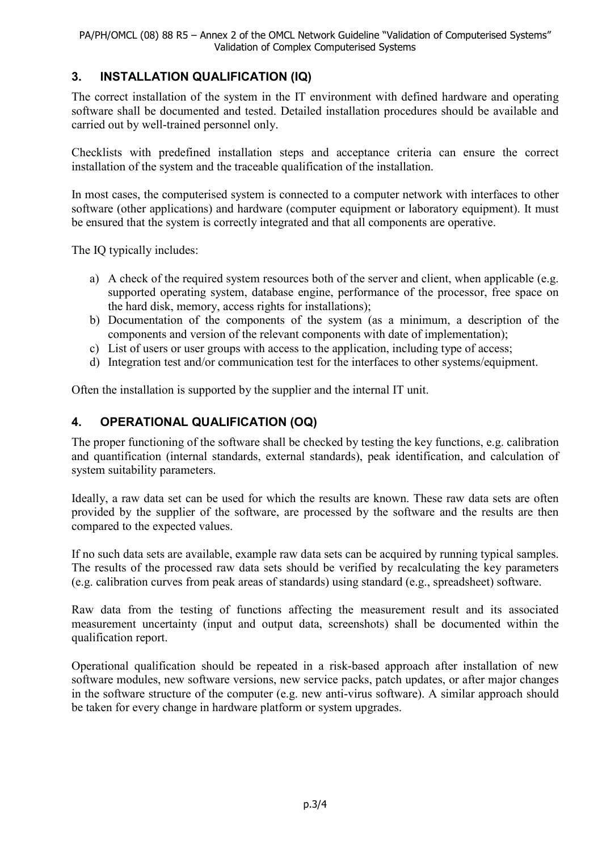# **3. INSTALLATION QUALIFICATION (IQ)**

The correct installation of the system in the IT environment with defined hardware and operating software shall be documented and tested. Detailed installation procedures should be available and carried out by well-trained personnel only.

Checklists with predefined installation steps and acceptance criteria can ensure the correct installation of the system and the traceable qualification of the installation.

In most cases, the computerised system is connected to a computer network with interfaces to other software (other applications) and hardware (computer equipment or laboratory equipment). It must be ensured that the system is correctly integrated and that all components are operative.

The IQ typically includes:

- a) A check of the required system resources both of the server and client, when applicable (e.g. supported operating system, database engine, performance of the processor, free space on the hard disk, memory, access rights for installations);
- b) Documentation of the components of the system (as a minimum, a description of the components and version of the relevant components with date of implementation);
- c) List of users or user groups with access to the application, including type of access;
- d) Integration test and/or communication test for the interfaces to other systems/equipment.

Often the installation is supported by the supplier and the internal IT unit.

## **4. OPERATIONAL QUALIFICATION (OQ)**

The proper functioning of the software shall be checked by testing the key functions, e.g. calibration and quantification (internal standards, external standards), peak identification, and calculation of system suitability parameters.

Ideally, a raw data set can be used for which the results are known. These raw data sets are often provided by the supplier of the software, are processed by the software and the results are then compared to the expected values.

If no such data sets are available, example raw data sets can be acquired by running typical samples. The results of the processed raw data sets should be verified by recalculating the key parameters (e.g. calibration curves from peak areas of standards) using standard (e.g., spreadsheet) software.

Raw data from the testing of functions affecting the measurement result and its associated measurement uncertainty (input and output data, screenshots) shall be documented within the qualification report.

Operational qualification should be repeated in a risk-based approach after installation of new software modules, new software versions, new service packs, patch updates, or after major changes in the software structure of the computer (e.g. new anti-virus software). A similar approach should be taken for every change in hardware platform or system upgrades.